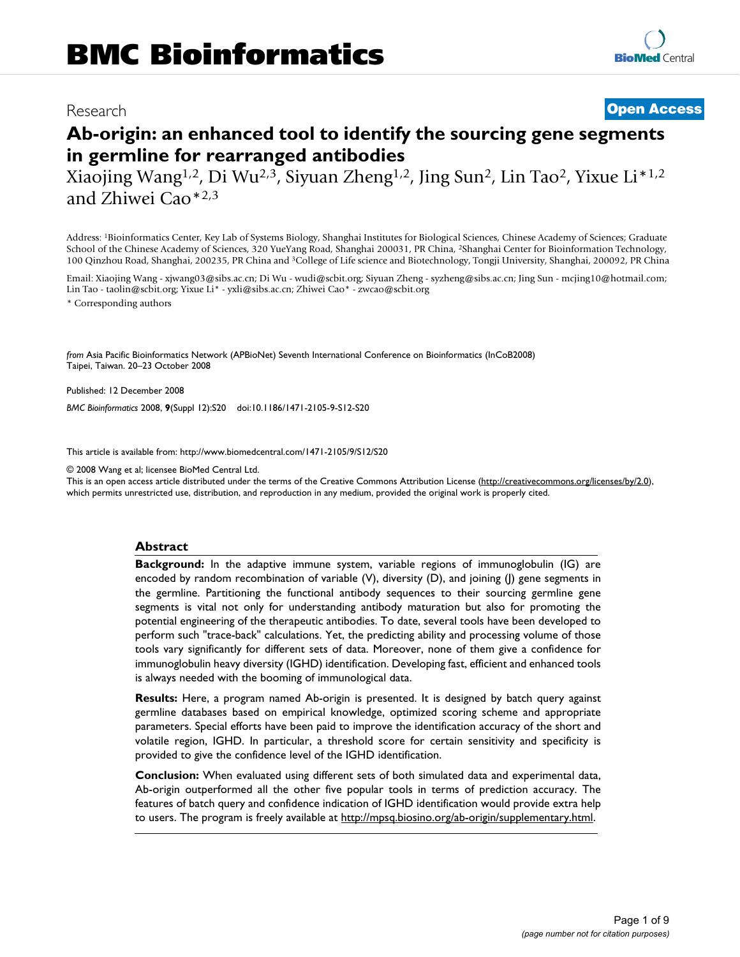# Research **[Open Access](http://www.biomedcentral.com/info/about/charter/)**

# **Ab-origin: an enhanced tool to identify the sourcing gene segments in germline for rearranged antibodies**

Xiaojing Wang1,2, Di Wu2,3, Siyuan Zheng1,2, Jing Sun2, Lin Tao2, Yixue Li\*1,2 and Zhiwei Cao\*2,3

Address: 1Bioinformatics Center, Key Lab of Systems Biology, Shanghai Institutes for Biological Sciences, Chinese Academy of Sciences; Graduate School of the Chinese Academy of Sciences, 320 YueYang Road, Shanghai 200031, PR China, 2Shanghai Center for Bioinformation Technology, 100 Qinzhou Road, Shanghai, 200235, PR China and 3College of Life science and Biotechnology, Tongji University, Shanghai, 200092, PR China

Email: Xiaojing Wang - xjwang03@sibs.ac.cn; Di Wu - wudi@scbit.org; Siyuan Zheng - syzheng@sibs.ac.cn; Jing Sun - mcjing10@hotmail.com; Lin Tao - taolin@scbit.org; Yixue Li\* - yxli@sibs.ac.cn; Zhiwei Cao\* - zwcao@scbit.org

\* Corresponding authors

*from* Asia Pacific Bioinformatics Network (APBioNet) Seventh International Conference on Bioinformatics (InCoB2008) Taipei, Taiwan. 20–23 October 2008

Published: 12 December 2008

*BMC Bioinformatics* 2008, **9**(Suppl 12):S20 doi:10.1186/1471-2105-9-S12-S20

[This article is available from: http://www.biomedcentral.com/1471-2105/9/S12/S20](http://www.biomedcentral.com/1471-2105/9/S12/S20)

© 2008 Wang et al; licensee BioMed Central Ltd.

This is an open access article distributed under the terms of the Creative Commons Attribution License [\(http://creativecommons.org/licenses/by/2.0\)](http://creativecommons.org/licenses/by/2.0), which permits unrestricted use, distribution, and reproduction in any medium, provided the original work is properly cited.

#### **Abstract**

**Background:** In the adaptive immune system, variable regions of immunoglobulin (IG) are encoded by random recombination of variable (V), diversity (D), and joining (J) gene segments in the germline. Partitioning the functional antibody sequences to their sourcing germline gene segments is vital not only for understanding antibody maturation but also for promoting the potential engineering of the therapeutic antibodies. To date, several tools have been developed to perform such "trace-back" calculations. Yet, the predicting ability and processing volume of those tools vary significantly for different sets of data. Moreover, none of them give a confidence for immunoglobulin heavy diversity (IGHD) identification. Developing fast, efficient and enhanced tools is always needed with the booming of immunological data.

**Results:** Here, a program named Ab-origin is presented. It is designed by batch query against germline databases based on empirical knowledge, optimized scoring scheme and appropriate parameters. Special efforts have been paid to improve the identification accuracy of the short and volatile region, IGHD. In particular, a threshold score for certain sensitivity and specificity is provided to give the confidence level of the IGHD identification.

**Conclusion:** When evaluated using different sets of both simulated data and experimental data, Ab-origin outperformed all the other five popular tools in terms of prediction accuracy. The features of batch query and confidence indication of IGHD identification would provide extra help to users. The program is freely available at [http://mpsq.biosino.org/ab-origin/supplementary.html.](http://mpsq.biosino.org/ab-origin/supplementary.html)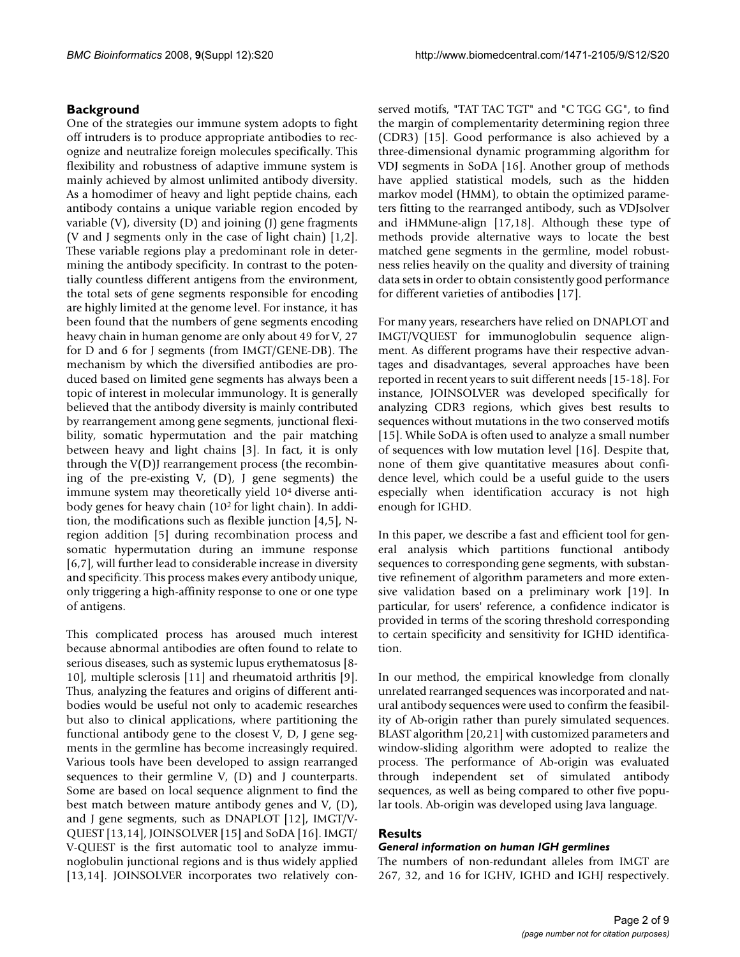# **Background**

One of the strategies our immune system adopts to fight off intruders is to produce appropriate antibodies to recognize and neutralize foreign molecules specifically. This flexibility and robustness of adaptive immune system is mainly achieved by almost unlimited antibody diversity. As a homodimer of heavy and light peptide chains, each antibody contains a unique variable region encoded by variable  $(V)$ , diversity  $(D)$  and joining  $(J)$  gene fragments (V and J segments only in the case of light chain) [1,2]. These variable regions play a predominant role in determining the antibody specificity. In contrast to the potentially countless different antigens from the environment, the total sets of gene segments responsible for encoding are highly limited at the genome level. For instance, it has been found that the numbers of gene segments encoding heavy chain in human genome are only about 49 for V, 27 for D and 6 for J segments (from IMGT/GENE-DB). The mechanism by which the diversified antibodies are produced based on limited gene segments has always been a topic of interest in molecular immunology. It is generally believed that the antibody diversity is mainly contributed by rearrangement among gene segments, junctional flexibility, somatic hypermutation and the pair matching between heavy and light chains [3]. In fact, it is only through the  $V(D)$  rearrangement process (the recombining of the pre-existing V, (D), J gene segments) the immune system may theoretically yield 104 diverse antibody genes for heavy chain (102 for light chain). In addition, the modifications such as flexible junction [4,5], Nregion addition [5] during recombination process and somatic hypermutation during an immune response [6,7], will further lead to considerable increase in diversity and specificity. This process makes every antibody unique, only triggering a high-affinity response to one or one type of antigens.

This complicated process has aroused much interest because abnormal antibodies are often found to relate to serious diseases, such as systemic lupus erythematosus [8- 10], multiple sclerosis [11] and rheumatoid arthritis [9]. Thus, analyzing the features and origins of different antibodies would be useful not only to academic researches but also to clinical applications, where partitioning the functional antibody gene to the closest V, D, J gene segments in the germline has become increasingly required. Various tools have been developed to assign rearranged sequences to their germline V, (D) and J counterparts. Some are based on local sequence alignment to find the best match between mature antibody genes and V, (D), and J gene segments, such as DNAPLOT [12], IMGT/V-QUEST [13,14], JOINSOLVER [15] and SoDA [16]. IMGT/ V-QUEST is the first automatic tool to analyze immunoglobulin junctional regions and is thus widely applied [13,14]. JOINSOLVER incorporates two relatively conserved motifs, "TAT TAC TGT" and "C TGG GG", to find the margin of complementarity determining region three (CDR3) [15]. Good performance is also achieved by a three-dimensional dynamic programming algorithm for VDJ segments in SoDA [16]. Another group of methods have applied statistical models, such as the hidden markov model (HMM), to obtain the optimized parameters fitting to the rearranged antibody, such as VDJsolver and iHMMune-align [17,18]. Although these type of methods provide alternative ways to locate the best matched gene segments in the germline, model robustness relies heavily on the quality and diversity of training data sets in order to obtain consistently good performance for different varieties of antibodies [17].

For many years, researchers have relied on DNAPLOT and IMGT/VQUEST for immunoglobulin sequence alignment. As different programs have their respective advantages and disadvantages, several approaches have been reported in recent years to suit different needs [15-18]. For instance, JOINSOLVER was developed specifically for analyzing CDR3 regions, which gives best results to sequences without mutations in the two conserved motifs [15]. While SoDA is often used to analyze a small number of sequences with low mutation level [16]. Despite that, none of them give quantitative measures about confidence level, which could be a useful guide to the users especially when identification accuracy is not high enough for IGHD.

In this paper, we describe a fast and efficient tool for general analysis which partitions functional antibody sequences to corresponding gene segments, with substantive refinement of algorithm parameters and more extensive validation based on a preliminary work [19]. In particular, for users' reference, a confidence indicator is provided in terms of the scoring threshold corresponding to certain specificity and sensitivity for IGHD identification.

In our method, the empirical knowledge from clonally unrelated rearranged sequences was incorporated and natural antibody sequences were used to confirm the feasibility of Ab-origin rather than purely simulated sequences. BLAST algorithm [20,21] with customized parameters and window-sliding algorithm were adopted to realize the process. The performance of Ab-origin was evaluated through independent set of simulated antibody sequences, as well as being compared to other five popular tools. Ab-origin was developed using Java language.

# **Results**

# *General information on human IGH germlines*

The numbers of non-redundant alleles from IMGT are 267, 32, and 16 for IGHV, IGHD and IGHJ respectively.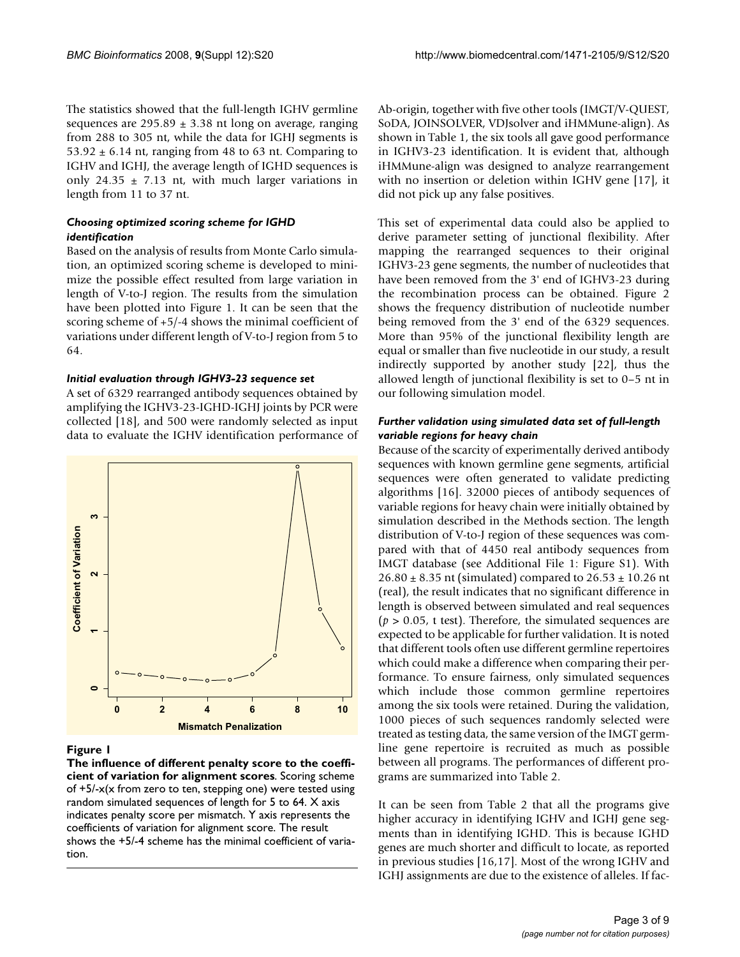The statistics showed that the full-length IGHV germline sequences are  $295.89 \pm 3.38$  nt long on average, ranging from 288 to 305 nt, while the data for IGHJ segments is  $53.92 \pm 6.14$  nt, ranging from 48 to 63 nt. Comparing to IGHV and IGHJ, the average length of IGHD sequences is only 24.35  $\pm$  7.13 nt, with much larger variations in length from 11 to 37 nt.

#### *Choosing optimized scoring scheme for IGHD identification*

Based on the analysis of results from Monte Carlo simulation, an optimized scoring scheme is developed to minimize the possible effect resulted from large variation in length of V-to-J region. The results from the simulation have been plotted into Figure 1. It can be seen that the scoring scheme of +5/-4 shows the minimal coefficient of variations under different length of V-to-J region from 5 to 64.

#### *Initial evaluation through IGHV3-23 sequence set*

A set of 6329 rearranged antibody sequences obtained by amplifying the IGHV3-23-IGHD-IGHJ joints by PCR were collected [18], and 500 were randomly selected as input data to evaluate the IGHV identification performance of



# Figure 1

**The influence of different penalty score to the coefficient of variation for alignment scores**. Scoring scheme of +5/-x(x from zero to ten, stepping one) were tested using random simulated sequences of length for 5 to 64. X axis indicates penalty score per mismatch. Y axis represents the coefficients of variation for alignment score. The result shows the +5/-4 scheme has the minimal coefficient of variation.

Ab-origin, together with five other tools (IMGT/V-QUEST, SoDA, JOINSOLVER, VDJsolver and iHMMune-align). As shown in Table 1, the six tools all gave good performance in IGHV3-23 identification. It is evident that, although iHMMune-align was designed to analyze rearrangement with no insertion or deletion within IGHV gene [17], it did not pick up any false positives.

This set of experimental data could also be applied to derive parameter setting of junctional flexibility. After mapping the rearranged sequences to their original IGHV3-23 gene segments, the number of nucleotides that have been removed from the 3' end of IGHV3-23 during the recombination process can be obtained. Figure 2 shows the frequency distribution of nucleotide number being removed from the 3' end of the 6329 sequences. More than 95% of the junctional flexibility length are equal or smaller than five nucleotide in our study, a result indirectly supported by another study [22], thus the allowed length of junctional flexibility is set to 0–5 nt in our following simulation model.

#### *Further validation using simulated data set of full-length variable regions for heavy chain*

Because of the scarcity of experimentally derived antibody sequences with known germline gene segments, artificial sequences were often generated to validate predicting algorithms [16]. 32000 pieces of antibody sequences of variable regions for heavy chain were initially obtained by simulation described in the Methods section. The length distribution of V-to-J region of these sequences was compared with that of 4450 real antibody sequences from IMGT database (see Additional File 1: Figure S1). With  $26.80 \pm 8.35$  nt (simulated) compared to  $26.53 \pm 10.26$  nt (real), the result indicates that no significant difference in length is observed between simulated and real sequences (*p* > 0.05, t test). Therefore, the simulated sequences are expected to be applicable for further validation. It is noted that different tools often use different germline repertoires which could make a difference when comparing their performance. To ensure fairness, only simulated sequences which include those common germline repertoires among the six tools were retained. During the validation, 1000 pieces of such sequences randomly selected were treated as testing data, the same version of the IMGT germline gene repertoire is recruited as much as possible between all programs. The performances of different programs are summarized into Table 2.

It can be seen from Table 2 that all the programs give higher accuracy in identifying IGHV and IGHJ gene segments than in identifying IGHD. This is because IGHD genes are much shorter and difficult to locate, as reported in previous studies [16,17]. Most of the wrong IGHV and IGHJ assignments are due to the existence of alleles. If fac-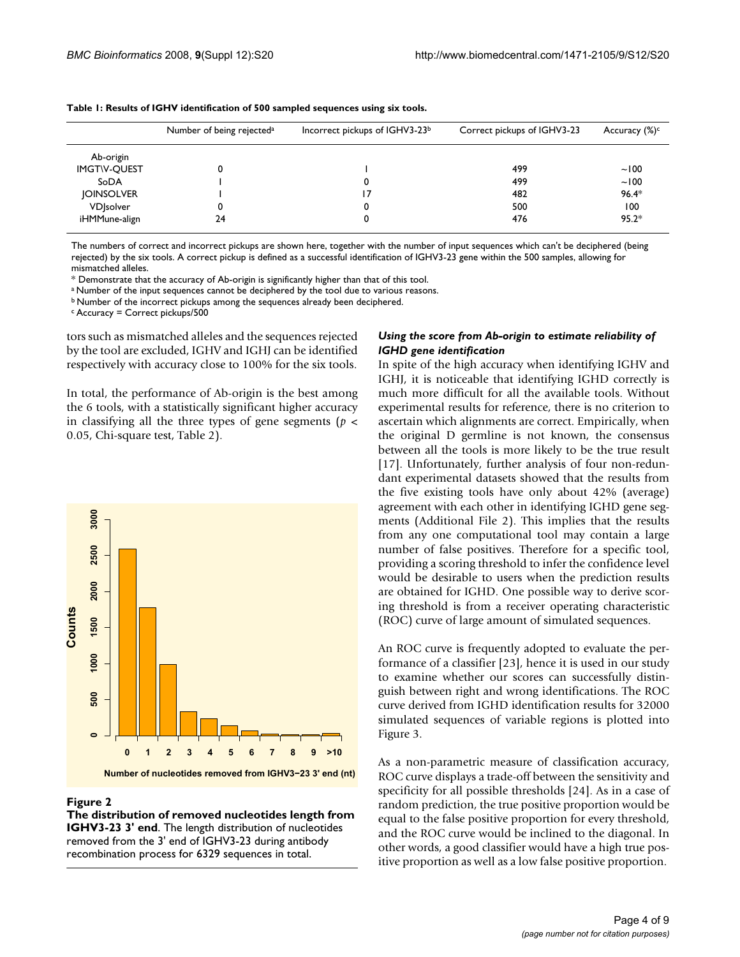|                     | Number of being rejected <sup>a</sup> | Incorrect pickups of IGHV3-23b | Correct pickups of IGHV3-23 | Accuracy $(\%)^c$ |
|---------------------|---------------------------------------|--------------------------------|-----------------------------|-------------------|
| Ab-origin           |                                       |                                |                             |                   |
| <b>IMGTIV-OUEST</b> |                                       |                                | 499                         | ~100              |
| SoDA                |                                       | 0                              | 499                         | ~100              |
| <b>JOINSOLVER</b>   |                                       | 17                             | 482                         | $96.4*$           |
| VD solver           |                                       | 0                              | 500                         | 100               |
| iHMMune-align       | 24                                    | 0                              | 476                         | $95.2*$           |

**Table 1: Results of IGHV identification of 500 sampled sequences using six tools.** 

The numbers of correct and incorrect pickups are shown here, together with the number of input sequences which can't be deciphered (being rejected) by the six tools. A correct pickup is defined as a successful identification of IGHV3-23 gene within the 500 samples, allowing for mismatched alleles.

\* Demonstrate that the accuracy of Ab-origin is significantly higher than that of this tool.

a Number of the input sequences cannot be deciphered by the tool due to various reasons.

b Number of the incorrect pickups among the sequences already been deciphered.

c Accuracy = Correct pickups/500

tors such as mismatched alleles and the sequences rejected by the tool are excluded, IGHV and IGHJ can be identified respectively with accuracy close to 100% for the six tools.

In total, the performance of Ab-origin is the best among the 6 tools, with a statistically significant higher accuracy in classifying all the three types of gene segments (*p* < 0.05, Chi-square test, Table 2).



#### Figure 2

**The distribution of removed nucleotides length from IGHV3-23 3' end**. The length distribution of nucleotides removed from the 3' end of IGHV3-23 during antibody

#### *Using the score from Ab-origin to estimate reliability of IGHD gene identification*

In spite of the high accuracy when identifying IGHV and IGHJ, it is noticeable that identifying IGHD correctly is much more difficult for all the available tools. Without experimental results for reference, there is no criterion to ascertain which alignments are correct. Empirically, when the original D germline is not known, the consensus between all the tools is more likely to be the true result [17]. Unfortunately, further analysis of four non-redundant experimental datasets showed that the results from the five existing tools have only about 42% (average) agreement with each other in identifying IGHD gene segments (Additional File 2). This implies that the results from any one computational tool may contain a large number of false positives. Therefore for a specific tool, providing a scoring threshold to infer the confidence level would be desirable to users when the prediction results are obtained for IGHD. One possible way to derive scoring threshold is from a receiver operating characteristic (ROC) curve of large amount of simulated sequences.

An ROC curve is frequently adopted to evaluate the performance of a classifier [23], hence it is used in our study to examine whether our scores can successfully distinguish between right and wrong identifications. The ROC curve derived from IGHD identification results for 32000 simulated sequences of variable regions is plotted into Figure 3.

As a non-parametric measure of classification accuracy, ROC curve displays a trade-off between the sensitivity and specificity for all possible thresholds [24]. As in a case of random prediction, the true positive proportion would be equal to the false positive proportion for every threshold, and the ROC curve would be inclined to the diagonal. In other words, a good classifier would have a high true positive proportion as well as a low false positive proportion.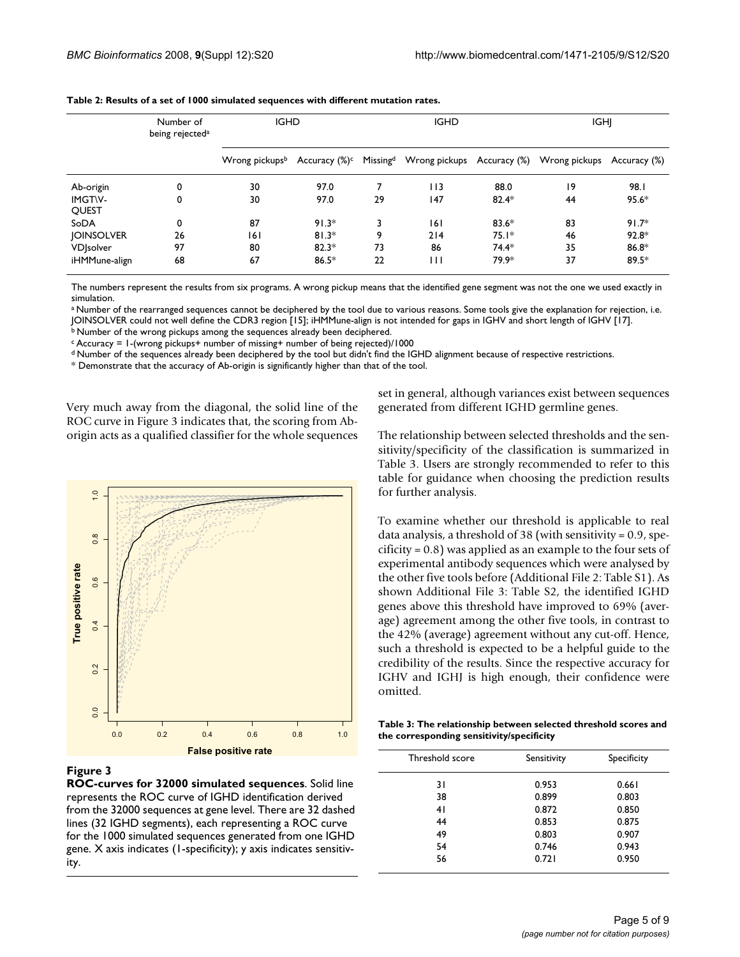|                         | Number of<br>being rejected <sup>a</sup> | <b>IGHD</b>                |                           | <b>IGHD</b> |                                                 | <b>IGHI</b> |                            |         |
|-------------------------|------------------------------------------|----------------------------|---------------------------|-------------|-------------------------------------------------|-------------|----------------------------|---------|
|                         |                                          | Wrong pickups <sup>b</sup> | Accuracy (%) <sup>c</sup> |             | Missing <sup>d</sup> Wrong pickups Accuracy (%) |             | Wrong pickups Accuracy (%) |         |
| Ab-origin               | 0                                        | 30                         | 97.0                      | 7           | 113                                             | 88.0        | 19                         | 98.I    |
| IMGT\V-<br><b>OUEST</b> | 0                                        | 30                         | 97.0                      | 29          | 147                                             | $82.4*$     | 44                         | $95.6*$ |
| SoDA                    | 0                                        | 87                         | $91.3*$                   | 3           | 161                                             | $83.6*$     | 83                         | $91.7*$ |
| <b>JOINSOLVER</b>       | 26                                       | 161                        | $81.3*$                   | 9           | 214                                             | $75.1*$     | 46                         | $92.8*$ |
| <b>VD</b> solver        | 97                                       | 80                         | $82.3*$                   | 73          | 86                                              | $74.4*$     | 35                         | $86.8*$ |
| iHMMune-align           | 68                                       | 67                         | $86.5*$                   | 22          | Ш                                               | 79.9*       | 37                         | $89.5*$ |

#### **Table 2: Results of a set of 1000 simulated sequences with different mutation rates.**

The numbers represent the results from six programs. A wrong pickup means that the identified gene segment was not the one we used exactly in simulation.

a Number of the rearranged sequences cannot be deciphered by the tool due to various reasons. Some tools give the explanation for rejection, i.e. JOINSOLVER could not well define the CDR3 region [15]; iHMMune-align is not intended for gaps in IGHV and short length of IGHV [17].

b Number of the wrong pickups among the sequences already been deciphered.

c Accuracy = 1-(wrong pickups+ number of missing+ number of being rejected)/1000

d Number of the sequences already been deciphered by the tool but didn't find the IGHD alignment because of respective restrictions.

\* Demonstrate that the accuracy of Ab-origin is significantly higher than that of the tool.

Very much away from the diagonal, the solid line of the ROC curve in Figure 3 indicates that, the scoring from Aborigin acts as a qualified classifier for the whole sequences



#### **Figure 3**

**ROC-curves for 32000 simulated sequences**. Solid line represents the ROC curve of IGHD identification derived from the 32000 sequences at gene level. There are 32 dashed lines (32 IGHD segments), each representing a ROC curve for the 1000 simulated sequences generated from one IGHD gene. X axis indicates (1-specificity); y axis indicates sensitivity.

set in general, although variances exist between sequences generated from different IGHD germline genes.

The relationship between selected thresholds and the sensitivity/specificity of the classification is summarized in Table 3. Users are strongly recommended to refer to this table for guidance when choosing the prediction results for further analysis.

To examine whether our threshold is applicable to real data analysis, a threshold of 38 (with sensitivity =  $0.9$ , specificity = 0.8) was applied as an example to the four sets of experimental antibody sequences which were analysed by the other five tools before (Additional File 2: Table S1). As shown Additional File 3: Table S2, the identified IGHD genes above this threshold have improved to 69% (average) agreement among the other five tools, in contrast to the 42% (average) agreement without any cut-off. Hence, such a threshold is expected to be a helpful guide to the credibility of the results. Since the respective accuracy for IGHV and IGHJ is high enough, their confidence were omitted.

| Table 3: The relationship between selected threshold scores and |
|-----------------------------------------------------------------|
| the corresponding sensitivity/specificity                       |

| Threshold score | Sensitivity | Specificity |
|-----------------|-------------|-------------|
| 31              | 0.953       | 0.661       |
| 38              | 0.899       | 0.803       |
| 41              | 0.872       | 0.850       |
| 44              | 0.853       | 0.875       |
| 49              | 0.803       | 0.907       |
| 54              | 0.746       | 0.943       |
| 56              | 0.721       | 0.950       |
|                 |             |             |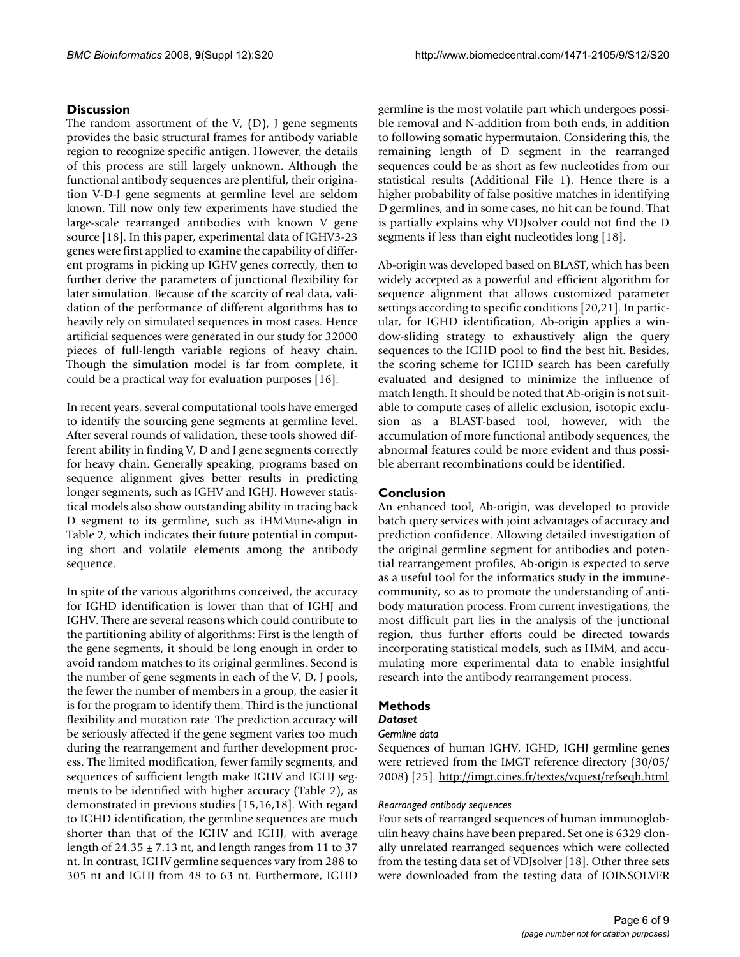# **Discussion**

The random assortment of the V,  $(D)$ , J gene segments provides the basic structural frames for antibody variable region to recognize specific antigen. However, the details of this process are still largely unknown. Although the functional antibody sequences are plentiful, their origination V-D-J gene segments at germline level are seldom known. Till now only few experiments have studied the large-scale rearranged antibodies with known V gene source [18]. In this paper, experimental data of IGHV3-23 genes were first applied to examine the capability of different programs in picking up IGHV genes correctly, then to further derive the parameters of junctional flexibility for later simulation. Because of the scarcity of real data, validation of the performance of different algorithms has to heavily rely on simulated sequences in most cases. Hence artificial sequences were generated in our study for 32000 pieces of full-length variable regions of heavy chain. Though the simulation model is far from complete, it could be a practical way for evaluation purposes [16].

In recent years, several computational tools have emerged to identify the sourcing gene segments at germline level. After several rounds of validation, these tools showed different ability in finding V, D and J gene segments correctly for heavy chain. Generally speaking, programs based on sequence alignment gives better results in predicting longer segments, such as IGHV and IGHJ. However statistical models also show outstanding ability in tracing back D segment to its germline, such as iHMMune-align in Table 2, which indicates their future potential in computing short and volatile elements among the antibody sequence.

In spite of the various algorithms conceived, the accuracy for IGHD identification is lower than that of IGHJ and IGHV. There are several reasons which could contribute to the partitioning ability of algorithms: First is the length of the gene segments, it should be long enough in order to avoid random matches to its original germlines. Second is the number of gene segments in each of the V, D, J pools, the fewer the number of members in a group, the easier it is for the program to identify them. Third is the junctional flexibility and mutation rate. The prediction accuracy will be seriously affected if the gene segment varies too much during the rearrangement and further development process. The limited modification, fewer family segments, and sequences of sufficient length make IGHV and IGHJ segments to be identified with higher accuracy (Table 2), as demonstrated in previous studies [15,16,18]. With regard to IGHD identification, the germline sequences are much shorter than that of the IGHV and IGHJ, with average length of  $24.35 \pm 7.13$  nt, and length ranges from 11 to 37 nt. In contrast, IGHV germline sequences vary from 288 to 305 nt and IGHJ from 48 to 63 nt. Furthermore, IGHD

germline is the most volatile part which undergoes possible removal and N-addition from both ends, in addition to following somatic hypermutaion. Considering this, the remaining length of D segment in the rearranged sequences could be as short as few nucleotides from our statistical results (Additional File 1). Hence there is a higher probability of false positive matches in identifying D germlines, and in some cases, no hit can be found. That is partially explains why VDJsolver could not find the D segments if less than eight nucleotides long [18].

Ab-origin was developed based on BLAST, which has been widely accepted as a powerful and efficient algorithm for sequence alignment that allows customized parameter settings according to specific conditions [20,21]. In particular, for IGHD identification, Ab-origin applies a window-sliding strategy to exhaustively align the query sequences to the IGHD pool to find the best hit. Besides, the scoring scheme for IGHD search has been carefully evaluated and designed to minimize the influence of match length. It should be noted that Ab-origin is not suitable to compute cases of allelic exclusion, isotopic exclusion as a BLAST-based tool, however, with the accumulation of more functional antibody sequences, the abnormal features could be more evident and thus possible aberrant recombinations could be identified.

# **Conclusion**

An enhanced tool, Ab-origin, was developed to provide batch query services with joint advantages of accuracy and prediction confidence. Allowing detailed investigation of the original germline segment for antibodies and potential rearrangement profiles, Ab-origin is expected to serve as a useful tool for the informatics study in the immunecommunity, so as to promote the understanding of antibody maturation process. From current investigations, the most difficult part lies in the analysis of the junctional region, thus further efforts could be directed towards incorporating statistical models, such as HMM, and accumulating more experimental data to enable insightful research into the antibody rearrangement process.

# **Methods**

# *Dataset*

*Germline data*

Sequences of human IGHV, IGHD, IGHJ germline genes were retrieved from the IMGT reference directory (30/05/ 2008) [25].<http://imgt.cines.fr/textes/vquest/refseqh.html>

#### *Rearranged antibody sequences*

Four sets of rearranged sequences of human immunoglobulin heavy chains have been prepared. Set one is 6329 clonally unrelated rearranged sequences which were collected from the testing data set of VDJsolver [18]. Other three sets were downloaded from the testing data of JOINSOLVER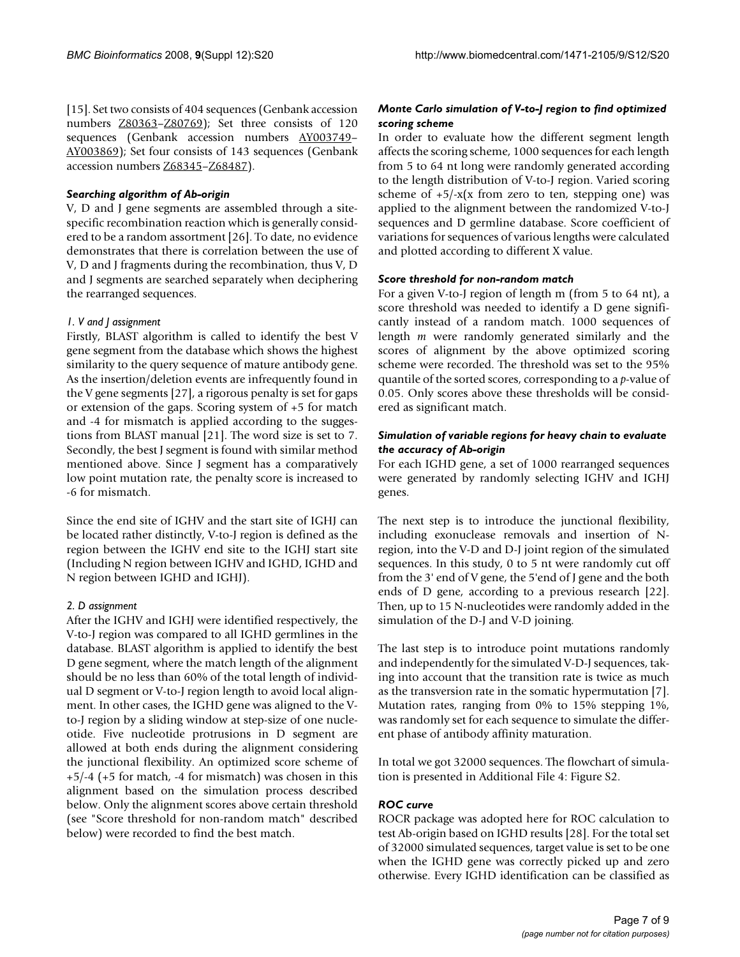[15]. Set two consists of 404 sequences (Genbank accession numbers [Z80363](http://www.ncbi.nih.gov/entrez/query.fcgi?db=Nucleotide&cmd=search&term=Z80363)–[Z80769\)](http://www.ncbi.nih.gov/entrez/query.fcgi?db=Nucleotide&cmd=search&term=Z80769); Set three consists of 120 sequences (Genbank accession numbers [AY003749–](http://www.ncbi.nih.gov/entrez/query.fcgi?db=Nucleotide&cmd=search&term=AY003749) [AY003869](http://www.ncbi.nih.gov/entrez/query.fcgi?db=Nucleotide&cmd=search&term=AY003869)); Set four consists of 143 sequences (Genbank accession numbers [Z68345](http://www.ncbi.nih.gov/entrez/query.fcgi?db=Nucleotide&cmd=search&term=Z68345)–[Z68487\)](http://www.ncbi.nih.gov/entrez/query.fcgi?db=Nucleotide&cmd=search&term=Z68487).

# *Searching algorithm of Ab-origin*

V, D and J gene segments are assembled through a sitespecific recombination reaction which is generally considered to be a random assortment [26]. To date, no evidence demonstrates that there is correlation between the use of V, D and J fragments during the recombination, thus V, D and J segments are searched separately when deciphering the rearranged sequences.

#### *1. V and J assignment*

Firstly, BLAST algorithm is called to identify the best V gene segment from the database which shows the highest similarity to the query sequence of mature antibody gene. As the insertion/deletion events are infrequently found in the V gene segments [27], a rigorous penalty is set for gaps or extension of the gaps. Scoring system of +5 for match and -4 for mismatch is applied according to the suggestions from BLAST manual [21]. The word size is set to 7. Secondly, the best J segment is found with similar method mentioned above. Since J segment has a comparatively low point mutation rate, the penalty score is increased to -6 for mismatch.

Since the end site of IGHV and the start site of IGHJ can be located rather distinctly, V-to-J region is defined as the region between the IGHV end site to the IGHJ start site (Including N region between IGHV and IGHD, IGHD and N region between IGHD and IGHJ).

#### *2. D assignment*

After the IGHV and IGHJ were identified respectively, the V-to-J region was compared to all IGHD germlines in the database. BLAST algorithm is applied to identify the best D gene segment, where the match length of the alignment should be no less than 60% of the total length of individual D segment or V-to-J region length to avoid local alignment. In other cases, the IGHD gene was aligned to the Vto-J region by a sliding window at step-size of one nucleotide. Five nucleotide protrusions in D segment are allowed at both ends during the alignment considering the junctional flexibility. An optimized score scheme of  $+5/4$  ( $+5$  for match,  $-4$  for mismatch) was chosen in this alignment based on the simulation process described below. Only the alignment scores above certain threshold (see "Score threshold for non-random match" described below) were recorded to find the best match.

#### *Monte Carlo simulation of V-to-J region to find optimized scoring scheme*

In order to evaluate how the different segment length affects the scoring scheme, 1000 sequences for each length from 5 to 64 nt long were randomly generated according to the length distribution of V-to-J region. Varied scoring scheme of  $+5$ /-x(x from zero to ten, stepping one) was applied to the alignment between the randomized V-to-J sequences and D germline database. Score coefficient of variations for sequences of various lengths were calculated and plotted according to different X value.

#### *Score threshold for non-random match*

For a given V-to-J region of length m (from 5 to 64 nt), a score threshold was needed to identify a D gene significantly instead of a random match. 1000 sequences of length *m* were randomly generated similarly and the scores of alignment by the above optimized scoring scheme were recorded. The threshold was set to the 95% quantile of the sorted scores, corresponding to a *p*-value of 0.05. Only scores above these thresholds will be considered as significant match.

#### *Simulation of variable regions for heavy chain to evaluate the accuracy of Ab-origin*

For each IGHD gene, a set of 1000 rearranged sequences were generated by randomly selecting IGHV and IGHJ genes.

The next step is to introduce the junctional flexibility, including exonuclease removals and insertion of Nregion, into the V-D and D-J joint region of the simulated sequences. In this study, 0 to 5 nt were randomly cut off from the 3' end of V gene, the 5'end of J gene and the both ends of D gene, according to a previous research [22]. Then, up to 15 N-nucleotides were randomly added in the simulation of the D-J and V-D joining.

The last step is to introduce point mutations randomly and independently for the simulated V-D-J sequences, taking into account that the transition rate is twice as much as the transversion rate in the somatic hypermutation [7]. Mutation rates, ranging from 0% to 15% stepping 1%, was randomly set for each sequence to simulate the different phase of antibody affinity maturation.

In total we got 32000 sequences. The flowchart of simulation is presented in Additional File 4: Figure S2.

#### *ROC curve*

ROCR package was adopted here for ROC calculation to test Ab-origin based on IGHD results [28]. For the total set of 32000 simulated sequences, target value is set to be one when the IGHD gene was correctly picked up and zero otherwise. Every IGHD identification can be classified as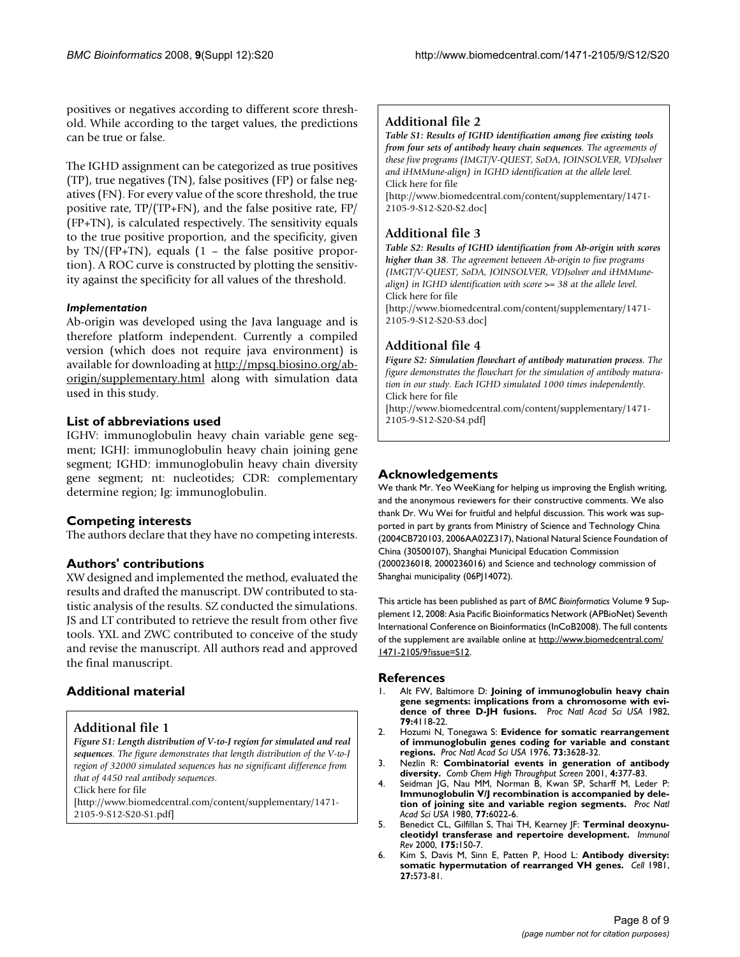positives or negatives according to different score threshold. While according to the target values, the predictions can be true or false.

The IGHD assignment can be categorized as true positives (TP), true negatives (TN), false positives (FP) or false negatives (FN). For every value of the score threshold, the true positive rate, TP/(TP+FN), and the false positive rate, FP/ (FP+TN), is calculated respectively. The sensitivity equals to the true positive proportion, and the specificity, given by TN/(FP+TN), equals (1 – the false positive proportion). A ROC curve is constructed by plotting the sensitivity against the specificity for all values of the threshold.

#### *Implementation*

Ab-origin was developed using the Java language and is therefore platform independent. Currently a compiled version (which does not require java environment) is available for downloading at [http://mpsq.biosino.org/ab](http://mpsq.biosino.org/ab-origin/supplementary.html)[origin/supplementary.html](http://mpsq.biosino.org/ab-origin/supplementary.html) along with simulation data used in this study.

# **List of abbreviations used**

IGHV: immunoglobulin heavy chain variable gene segment; IGHJ: immunoglobulin heavy chain joining gene segment; IGHD: immunoglobulin heavy chain diversity gene segment; nt: nucleotides; CDR: complementary determine region; Ig: immunoglobulin.

# **Competing interests**

The authors declare that they have no competing interests.

# **Authors' contributions**

XW designed and implemented the method, evaluated the results and drafted the manuscript. DW contributed to statistic analysis of the results. SZ conducted the simulations. JS and LT contributed to retrieve the result from other five tools. YXL and ZWC contributed to conceive of the study and revise the manuscript. All authors read and approved the final manuscript.

# **Additional material**

# **Additional file 1**

*Figure S1: Length distribution of V-to-J region for simulated and real sequences. The figure demonstrates that length distribution of the V-to-J region of 32000 simulated sequences has no significant difference from that of 4450 real antibody sequences.*

Click here for file

[\[http://www.biomedcentral.com/content/supplementary/1471-](http://www.biomedcentral.com/content/supplementary/1471-2105-9-S12-S20-S1.pdf) 2105-9-S12-S20-S1.pdf]

# **Additional file 2**

*Table S1: Results of IGHD identification among five existing tools from four sets of antibody heavy chain sequences. The agreements of these five programs (IMGT/V-QUEST, SoDA, JOINSOLVER, VDJsolver and iHMMune-align) in IGHD identification at the allele level.* Click here for file

[\[http://www.biomedcentral.com/content/supplementary/1471-](http://www.biomedcentral.com/content/supplementary/1471-2105-9-S12-S20-S2.doc) 2105-9-S12-S20-S2.doc]

# **Additional file 3**

*Table S2: Results of IGHD identification from Ab-origin with scores higher than 38. The agreement between Ab-origin to five programs (IMGT/V-QUEST, SoDA, JOINSOLVER, VDJsolver and iHMMunealign) in IGHD identification with score >= 38 at the allele level.* Click here for file

[\[http://www.biomedcentral.com/content/supplementary/1471-](http://www.biomedcentral.com/content/supplementary/1471-2105-9-S12-S20-S3.doc) 2105-9-S12-S20-S3.doc]

# **Additional file 4**

*Figure S2: Simulation flowchart of antibody maturation process. The figure demonstrates the flowchart for the simulation of antibody maturation in our study. Each IGHD simulated 1000 times independently.* Click here for file

[\[http://www.biomedcentral.com/content/supplementary/1471-](http://www.biomedcentral.com/content/supplementary/1471-2105-9-S12-S20-S4.pdf) 2105-9-S12-S20-S4.pdf]

# **Acknowledgements**

We thank Mr. Yeo WeeKiang for helping us improving the English writing, and the anonymous reviewers for their constructive comments. We also thank Dr. Wu Wei for fruitful and helpful discussion. This work was supported in part by grants from Ministry of Science and Technology China (2004CB720103, 2006AA02Z317), National Natural Science Foundation of China (30500107), Shanghai Municipal Education Commission (2000236018, 2000236016) and Science and technology commission of Shanghai municipality (06PJ14072).

This article has been published as part of *BMC Bioinformatics* Volume 9 Supplement 12, 2008: Asia Pacific Bioinformatics Network (APBioNet) Seventh International Conference on Bioinformatics (InCoB2008). The full contents of the supplement are available online at [http://www.biomedcentral.com/](http://www.biomedcentral.com/1471-2105/9?issue=S12) [1471-2105/9?issue=S12.](http://www.biomedcentral.com/1471-2105/9?issue=S12)

#### **References**

- Alt FW, Baltimore D: **[Joining of immunoglobulin heavy chain](http://www.ncbi.nlm.nih.gov/entrez/query.fcgi?cmd=Retrieve&db=PubMed&dopt=Abstract&list_uids=6287467) [gene segments: implications from a chromosome with evi](http://www.ncbi.nlm.nih.gov/entrez/query.fcgi?cmd=Retrieve&db=PubMed&dopt=Abstract&list_uids=6287467)[dence of three D-JH fusions.](http://www.ncbi.nlm.nih.gov/entrez/query.fcgi?cmd=Retrieve&db=PubMed&dopt=Abstract&list_uids=6287467)** *Proc Natl Acad Sci USA* 1982, **79:**4118-22.
- 2. Hozumi N, Tonegawa S: **[Evidence for somatic rearrangement](http://www.ncbi.nlm.nih.gov/entrez/query.fcgi?cmd=Retrieve&db=PubMed&dopt=Abstract&list_uids=824647) [of immunoglobulin genes coding for variable and constant](http://www.ncbi.nlm.nih.gov/entrez/query.fcgi?cmd=Retrieve&db=PubMed&dopt=Abstract&list_uids=824647) [regions.](http://www.ncbi.nlm.nih.gov/entrez/query.fcgi?cmd=Retrieve&db=PubMed&dopt=Abstract&list_uids=824647)** *Proc Natl Acad Sci USA* 1976, **73:**3628-32.
- 3. Nezlin R: **[Combinatorial events in generation of antibody](http://www.ncbi.nlm.nih.gov/entrez/query.fcgi?cmd=Retrieve&db=PubMed&dopt=Abstract&list_uids=11472226) [diversity.](http://www.ncbi.nlm.nih.gov/entrez/query.fcgi?cmd=Retrieve&db=PubMed&dopt=Abstract&list_uids=11472226)** *Comb Chem High Throughput Screen* 2001, **4:**377-83.
- 4. Seidman JG, Nau MM, Norman B, Kwan SP, Scharff M, Leder P: **[Immunoglobulin V/J recombination is accompanied by dele](http://www.ncbi.nlm.nih.gov/entrez/query.fcgi?cmd=Retrieve&db=PubMed&dopt=Abstract&list_uids=6777777)[tion of joining site and variable region segments.](http://www.ncbi.nlm.nih.gov/entrez/query.fcgi?cmd=Retrieve&db=PubMed&dopt=Abstract&list_uids=6777777)** *Proc Natl Acad Sci USA* 1980, **77:**6022-6.
- 5. Benedict CL, Gilfillan S, Thai TH, Kearney JF: **[Terminal deoxynu](http://www.ncbi.nlm.nih.gov/entrez/query.fcgi?cmd=Retrieve&db=PubMed&dopt=Abstract&list_uids=10933600)[cleotidyl transferase and repertoire development.](http://www.ncbi.nlm.nih.gov/entrez/query.fcgi?cmd=Retrieve&db=PubMed&dopt=Abstract&list_uids=10933600)** *Immunol Rev* 2000, **175:**150-7.
- 6. Kim S, Davis M, Sinn E, Patten P, Hood L: **[Antibody diversity:](http://www.ncbi.nlm.nih.gov/entrez/query.fcgi?cmd=Retrieve&db=PubMed&dopt=Abstract&list_uids=6101208) [somatic hypermutation of rearranged VH genes.](http://www.ncbi.nlm.nih.gov/entrez/query.fcgi?cmd=Retrieve&db=PubMed&dopt=Abstract&list_uids=6101208)** *Cell* 1981, **27:**573-81.